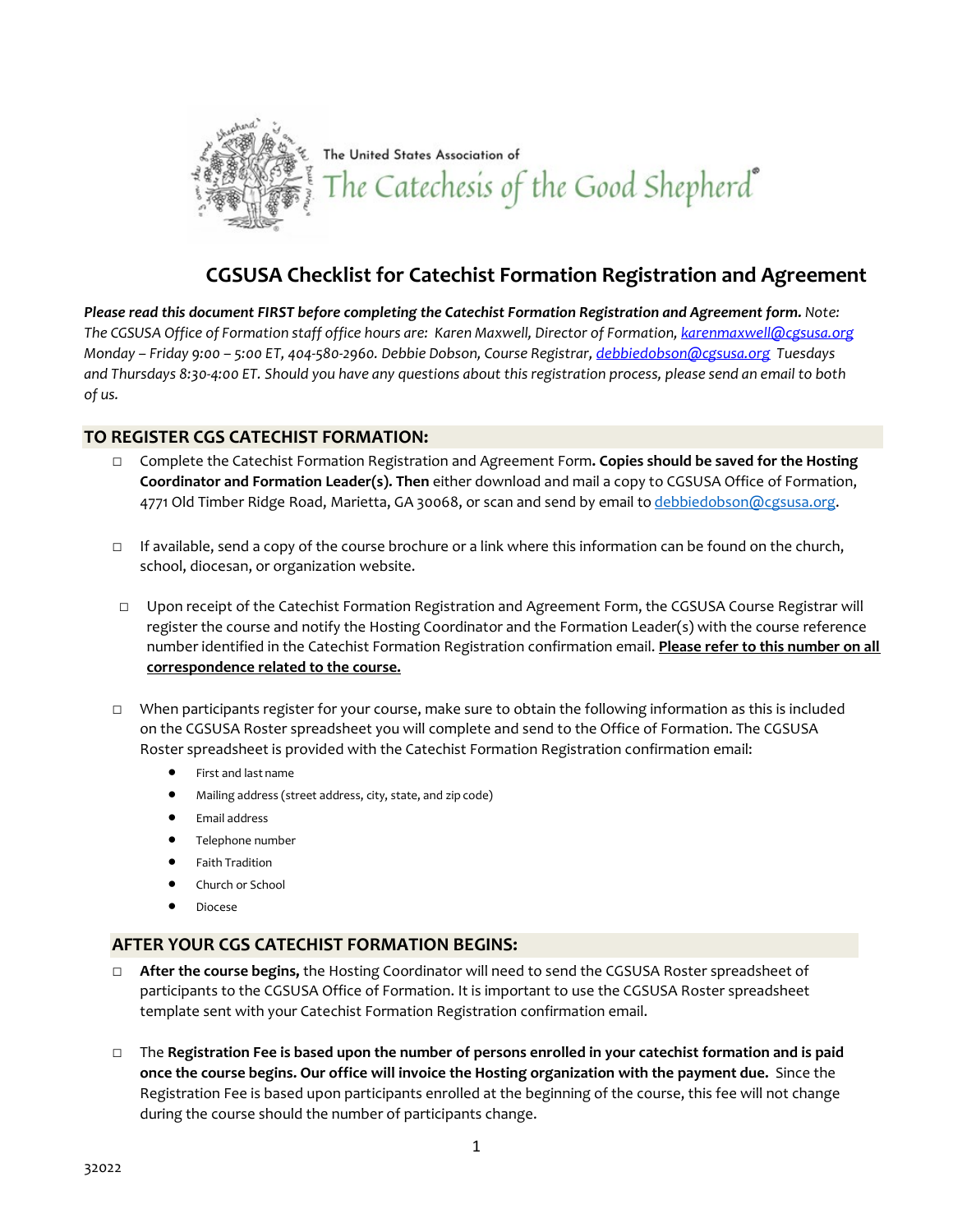

## **CGSUSA Checklist for Catechist Formation Registration and Agreement**

*Please read this document FIRST before completing the Catechist Formation Registration and Agreement form. Note: The CGSUSA Office of Formation staff office hours are: Karen Maxwell, Director of Formation[, karenmaxwell@cgsusa.org](mailto:karenmaxwell@cgsusa.org) Monday – Friday 9:00 – 5:00 ET, 404-580-2960. Debbie Dobson, Course Registrar[, debbiedobson@cgsusa.org](mailto:debbiedobson@cgsusa.org) Tuesdays and Thursdays 8:30-4:00 ET. Should you have any questions about this registration process, please send an email to both of us.*

## **TO REGISTER CGS CATECHIST FORMATION:**

- □ Complete the Catechist Formation Registration and Agreement Form**. Copies should be saved for the Hosting Coordinator and Formation Leader(s). Then** either download and mail a copy to CGSUSA Office of Formation, 4771 Old Timber Ridge Road, Marietta, GA 30068, or scan and send by email to [debbiedobson@cgsusa.org.](mailto:debbiedobson@cgsusa.org)
- $\Box$  If available, send a copy of the course brochure or a link where this information can be found on the church, school, diocesan, or organization website.
- □ Upon receipt of the Catechist Formation Registration and Agreement Form, the CGSUSA Course Registrar will register the course and notify the Hosting Coordinator and the Formation Leader(s) with the course reference number identified in the Catechist Formation Registration confirmation email. **Please refer to this number on all correspondence related to the course.**
- □ When participants register for your course, make sure to obtain the following information as this is included on the CGSUSA Roster spreadsheet you will complete and send to the Office of Formation. The CGSUSA Roster spreadsheet is provided with the Catechist Formation Registration confirmation email:
	- First and last name
	- Mailing address (street address, city, state, and zip code)
	- Email address
	- Telephone number
	- Faith Tradition
	- Church or School
	- Diocese

## **AFTER YOUR CGS CATECHIST FORMATION BEGINS:**

- □ **After the course begins,** the Hosting Coordinator will need to send the CGSUSA Roster spreadsheet of participants to the CGSUSA Office of Formation. It is important to use the CGSUSA Roster spreadsheet template sent with your Catechist Formation Registration confirmation email.
- □ The **Registration Fee is based upon the number of persons enrolled in your catechist formation and is paid once the course begins. Our office will invoice the Hosting organization with the payment due.** Since the Registration Fee is based upon participants enrolled at the beginning of the course, this fee will not change during the course should the number of participants change.